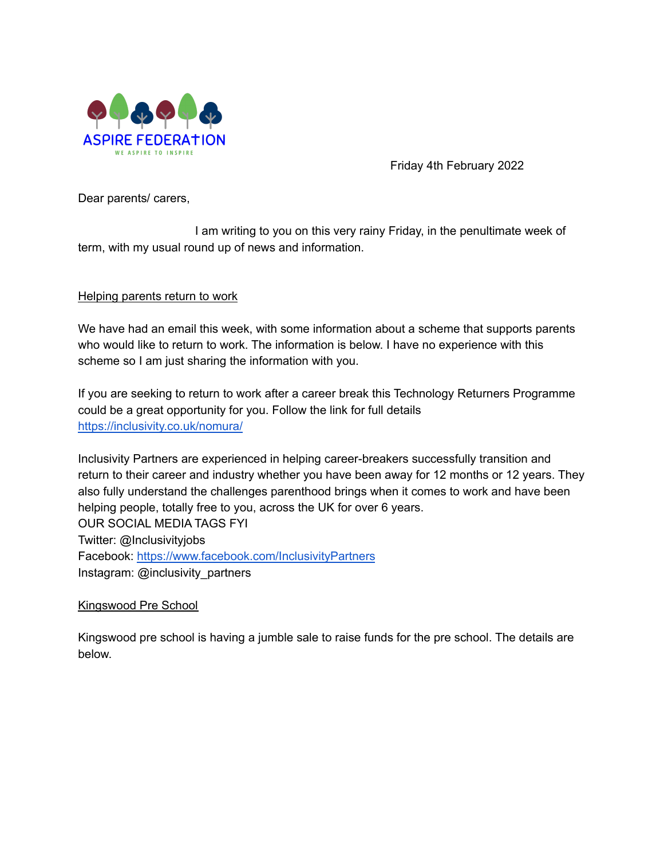

Friday 4th February 2022

Dear parents/ carers,

I am writing to you on this very rainy Friday, in the penultimate week of term, with my usual round up of news and information.

# Helping parents return to work

We have had an email this week, with some information about a scheme that supports parents who would like to return to work. The information is below. I have no experience with this scheme so I am just sharing the information with you.

If you are seeking to return to work after a career break this Technology Returners Programme could be a great opportunity for you. Follow the link for full details <https://inclusivity.co.uk/nomura/>

Inclusivity Partners are experienced in helping career-breakers successfully transition and return to their career and industry whether you have been away for 12 months or 12 years. They also fully understand the challenges parenthood brings when it comes to work and have been helping people, totally free to you, across the UK for over 6 years. OUR SOCIAL MEDIA TAGS FYI Twitter: @Inclusivityjobs Facebook: <https://www.facebook.com/InclusivityPartners> Instagram: @inclusivity\_partners

Kingswood Pre School

Kingswood pre school is having a jumble sale to raise funds for the pre school. The details are below.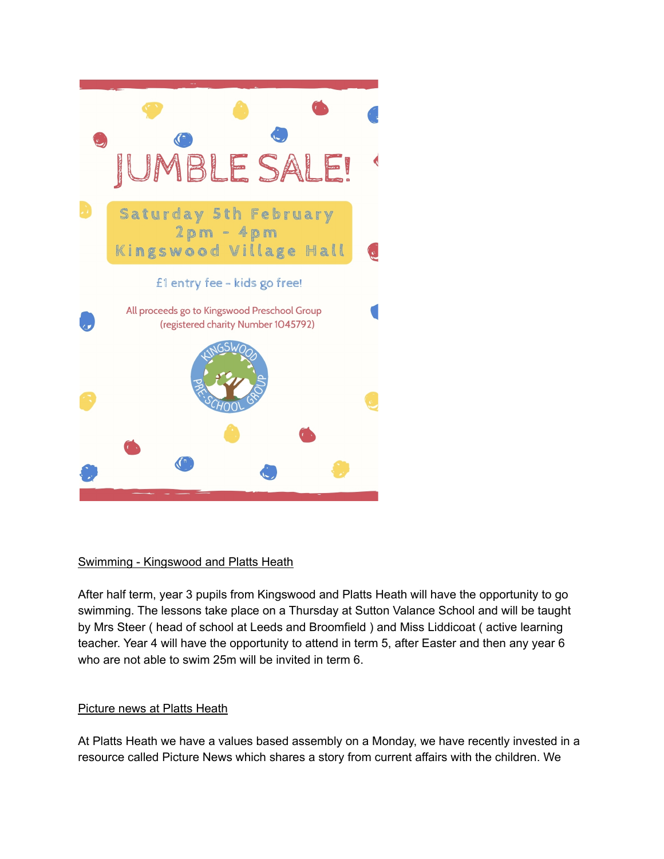

# Swimming - Kingswood and Platts Heath

After half term, year 3 pupils from Kingswood and Platts Heath will have the opportunity to go swimming. The lessons take place on a Thursday at Sutton Valance School and will be taught by Mrs Steer ( head of school at Leeds and Broomfield ) and Miss Liddicoat ( active learning teacher. Year 4 will have the opportunity to attend in term 5, after Easter and then any year 6 who are not able to swim 25m will be invited in term 6.

# Picture news at Platts Heath

At Platts Heath we have a values based assembly on a Monday, we have recently invested in a resource called Picture News which shares a story from current affairs with the children. We